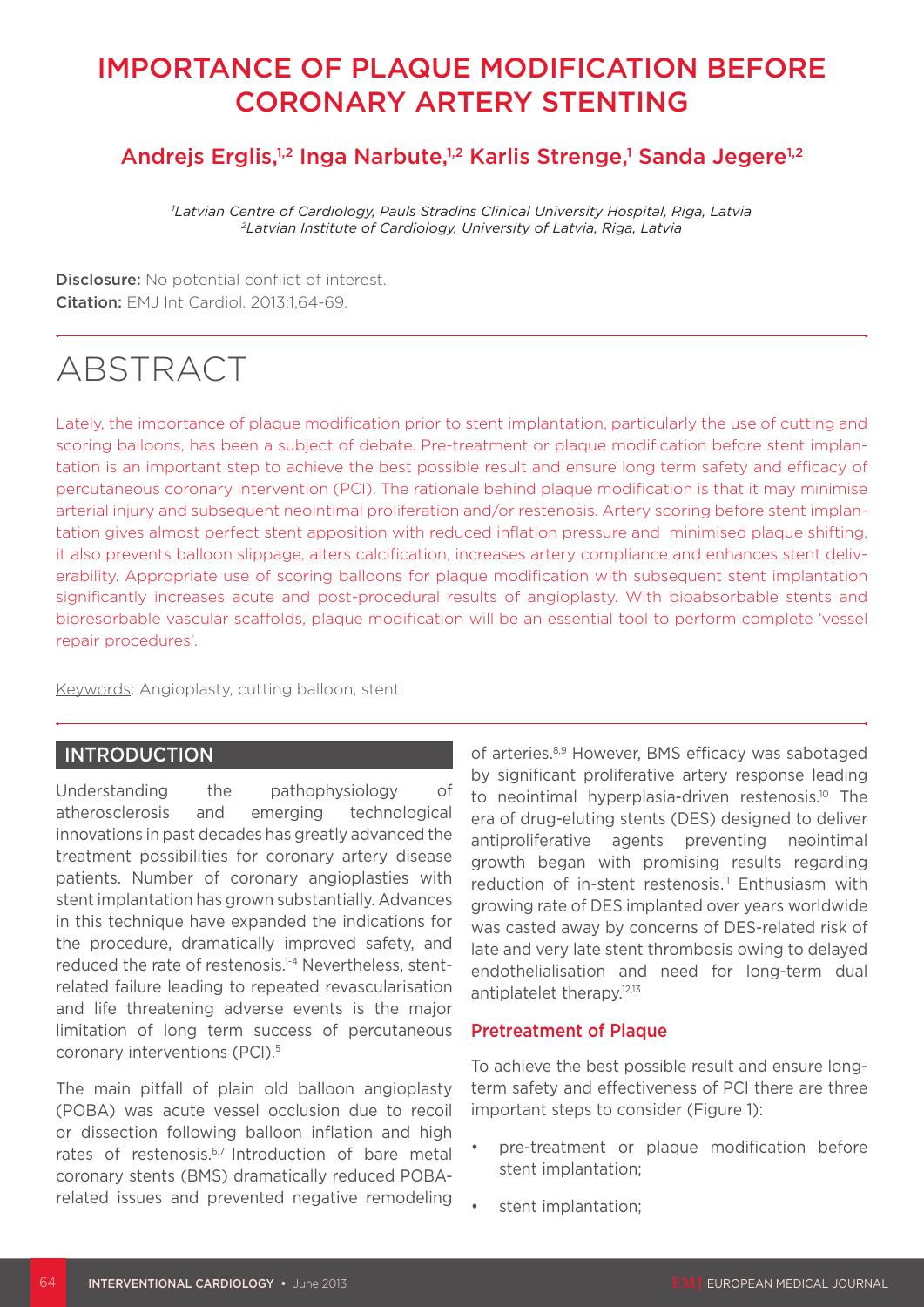### IMPORTANCE OF PLAQUE MODIFICATION BEFORE CORONARY ARTERY STENTING

### Andrejs Erglis,<sup>1,2</sup> Inga Narbute,<sup>1,2</sup> Karlis Strenge,<sup>1</sup> Sanda Jegere<sup>1,2</sup>

*1 Latvian Centre of Cardiology, Pauls Stradins Clinical University Hospital, Riga, Latvia 2Latvian Institute of Cardiology, University of Latvia, Riga, Latvia*

Disclosure: No potential conflict of interest. Citation: EMJ Int Cardiol. 2013:1,64-69.

## ABSTRACT

Lately, the importance of plaque modification prior to stent implantation, particularly the use of cutting and scoring balloons, has been a subject of debate. Pre-treatment or plaque modification before stent implantation is an important step to achieve the best possible result and ensure long term safety and efficacy of percutaneous coronary intervention (PCI). The rationale behind plaque modification is that it may minimise arterial injury and subsequent neointimal proliferation and/or restenosis. Artery scoring before stent implantation gives almost perfect stent apposition with reduced inflation pressure and minimised plaque shifting, it also prevents balloon slippage, alters calcification, increases artery compliance and enhances stent deliverability. Appropriate use of scoring balloons for plaque modification with subsequent stent implantation significantly increases acute and post-procedural results of angioplasty. With bioabsorbable stents and bioresorbable vascular scaffolds, plaque modification will be an essential tool to perform complete 'vessel repair procedures'.

Keywords: Angioplasty, cutting balloon, stent.

### INTRODUCTION

Understanding the pathophysiology of atherosclerosis and emerging technological innovations in past decades has greatly advanced the treatment possibilities for coronary artery disease patients. Number of coronary angioplasties with stent implantation has grown substantially. Advances in this technique have expanded the indications for the procedure, dramatically improved safety, and reduced the rate of restenosis.<sup>1-4</sup> Nevertheless, stentrelated failure leading to repeated revascularisation and life threatening adverse events is the major limitation of long term success of percutaneous coronary interventions (PCI). 5

The main pitfall of plain old balloon angioplasty (POBA) was acute vessel occlusion due to recoil or dissection following balloon inflation and high rates of restenosis.<sup>6,7</sup> Introduction of bare metal coronary stents (BMS) dramatically reduced POBArelated issues and prevented negative remodeling of arteries.8,9 However, BMS efficacy was sabotaged by significant proliferative artery response leading to neointimal hyperplasia-driven restenosis.<sup>10</sup> The era of drug-eluting stents (DES) designed to deliver antiproliferative agents preventing neointimal growth began with promising results regarding reduction of in-stent restenosis.<sup>11</sup> Enthusiasm with growing rate of DES implanted over years worldwide was casted away by concerns of DES-related risk of late and very late stent thrombosis owing to delayed endothelialisation and need for long-term dual antiplatelet therapy.<sup>12,13</sup>

#### Pretreatment of Plaque

To achieve the best possible result and ensure longterm safety and effectiveness of PCI there are three important steps to consider (Figure 1):

- pre-treatment or plaque modification before stent implantation;
- stent implantation: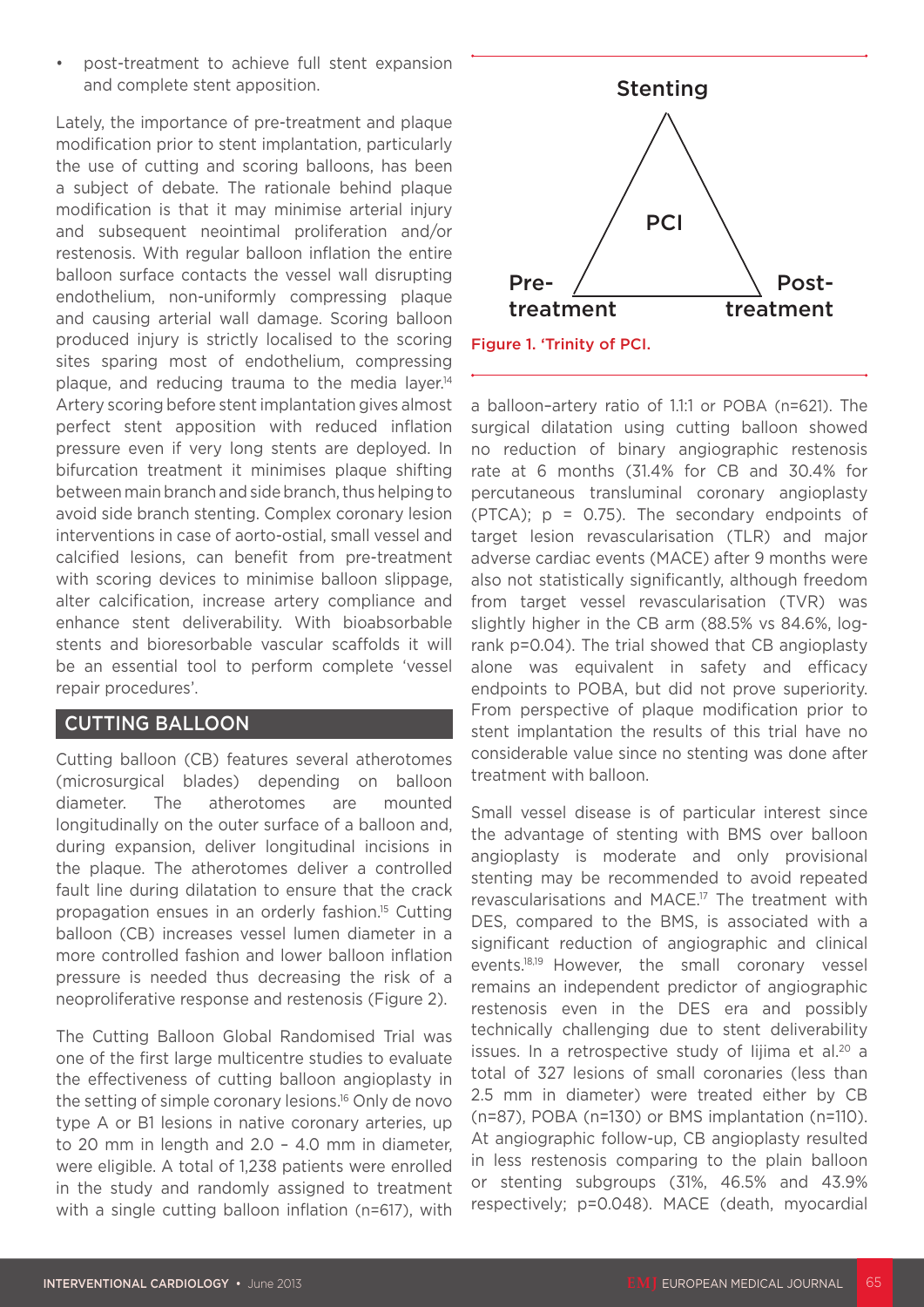post-treatment to achieve full stent expansion and complete stent apposition.

Lately, the importance of pre-treatment and plaque modification prior to stent implantation, particularly the use of cutting and scoring balloons, has been a subject of debate. The rationale behind plaque modification is that it may minimise arterial injury and subsequent neointimal proliferation and/or restenosis. With regular balloon inflation the entire balloon surface contacts the vessel wall disrupting endothelium, non-uniformly compressing plaque and causing arterial wall damage. Scoring balloon produced injury is strictly localised to the scoring sites sparing most of endothelium, compressing plaque, and reducing trauma to the media layer.<sup>14</sup> Artery scoring before stent implantation gives almost perfect stent apposition with reduced inflation pressure even if very long stents are deployed. In bifurcation treatment it minimises plaque shifting between main branch and side branch, thus helping to avoid side branch stenting. Complex coronary lesion interventions in case of aorto-ostial, small vessel and calcified lesions, can benefit from pre-treatment with scoring devices to minimise balloon slippage, alter calcification, increase artery compliance and enhance stent deliverability. With bioabsorbable stents and bioresorbable vascular scaffolds it will be an essential tool to perform complete 'vessel repair procedures'.

### CUTTING BALLOON

Cutting balloon (CB) features several atherotomes (microsurgical blades) depending on balloon diameter. The atherotomes are mounted longitudinally on the outer surface of a balloon and, during expansion, deliver longitudinal incisions in the plaque. The atherotomes deliver a controlled fault line during dilatation to ensure that the crack propagation ensues in an orderly fashion. <sup>15</sup> Cutting balloon (CB) increases vessel lumen diameter in a more controlled fashion and lower balloon inflation pressure is needed thus decreasing the risk of a neoproliferative response and restenosis (Figure 2).

The Cutting Balloon Global Randomised Trial was one of the first large multicentre studies to evaluate the effectiveness of cutting balloon angioplasty in the setting of simple coronary lesions. 16 Only de novo type A or B1 lesions in native coronary arteries, up to 20 mm in length and 2.0 – 4.0 mm in diameter, were eligible. A total of 1,238 patients were enrolled in the study and randomly assigned to treatment with a single cutting balloon inflation (n=617), with



a balloon–artery ratio of 1.1:1 or POBA (n=621). The surgical dilatation using cutting balloon showed no reduction of binary angiographic restenosis rate at 6 months (31.4% for CB and 30.4% for percutaneous transluminal coronary angioplasty (PTCA); p = 0.75). The secondary endpoints of target lesion revascularisation (TLR) and major adverse cardiac events (MACE) after 9 months were also not statistically significantly, although freedom from target vessel revascularisation (TVR) was slightly higher in the CB arm (88.5% vs 84.6%, logrank p=0.04). The trial showed that CB angioplasty alone was equivalent in safety and efficacy endpoints to POBA, but did not prove superiority. From perspective of plaque modification prior to stent implantation the results of this trial have no considerable value since no stenting was done after treatment with balloon.

Small vessel disease is of particular interest since the advantage of stenting with BMS over balloon angioplasty is moderate and only provisional stenting may be recommended to avoid repeated revascularisations and MACE. 17 The treatment with DES, compared to the BMS, is associated with a significant reduction of angiographic and clinical events.18,19 However, the small coronary vessel remains an independent predictor of angiographic restenosis even in the DES era and possibly technically challenging due to stent deliverability issues. In a retrospective study of lijima et al.<sup>20</sup> a total of 327 lesions of small coronaries (less than 2.5 mm in diameter) were treated either by CB (n=87), POBA (n=130) or BMS implantation (n=110). At angiographic follow-up, CB angioplasty resulted in less restenosis comparing to the plain balloon or stenting subgroups (31%, 46.5% and 43.9% respectively; p=0.048). MACE (death, myocardial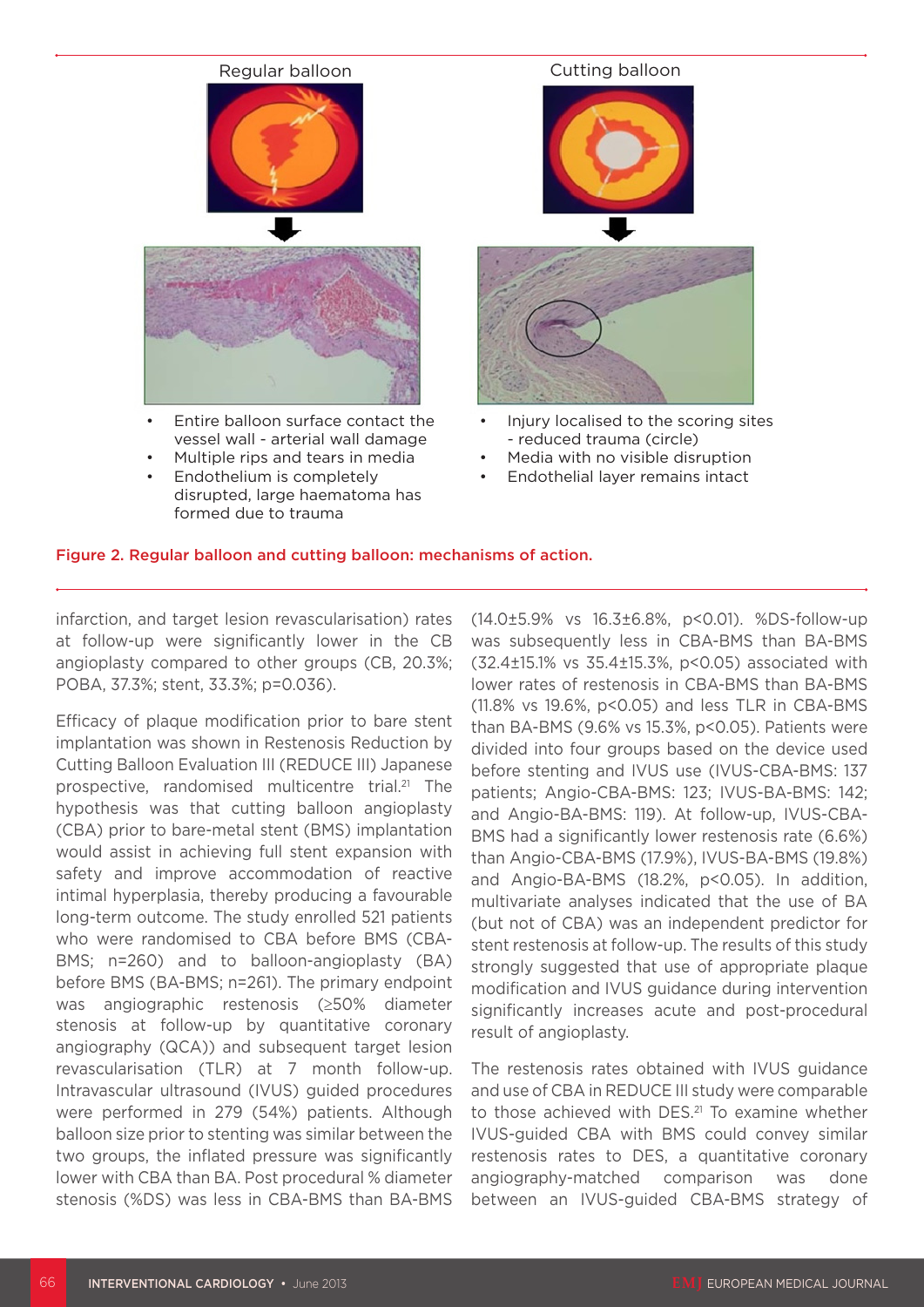# Regular balloon **Cutting balloon** Entire balloon surface contact the vessel wall - arterial wall damage Multiple rips and tears in media Endothelium is completely Injury localised to the scoring sites - reduced trauma (circle) Media with no visible disruption Endothelial layer remains intact

Figure 2. Regular balloon and cutting balloon: mechanisms of action.

disrupted, large haematoma has

infarction, and target lesion revascularisation) rates at follow-up were significantly lower in the CB angioplasty compared to other groups (CB, 20.3%; POBA, 37.3%; stent, 33.3%; p=0.036).

formed due to trauma

Efficacy of plaque modification prior to bare stent implantation was shown in Restenosis Reduction by Cutting Balloon Evaluation III (REDUCE III) Japanese prospective, randomised multicentre trial.<sup>21</sup> The hypothesis was that cutting balloon angioplasty (CBA) prior to bare-metal stent (BMS) implantation would assist in achieving full stent expansion with safety and improve accommodation of reactive intimal hyperplasia, thereby producing a favourable long-term outcome. The study enrolled 521 patients who were randomised to CBA before BMS (CBA-BMS; n=260) and to balloon-angioplasty (BA) before BMS (BA-BMS; n=261). The primary endpoint was angiographic restenosis (≥50% diameter stenosis at follow-up by quantitative coronary angiography (QCA)) and subsequent target lesion revascularisation (TLR) at 7 month follow-up. Intravascular ultrasound (IVUS) guided procedures were performed in 279 (54%) patients. Although balloon size prior to stenting was similar between the two groups, the inflated pressure was significantly lower with CBA than BA. Post procedural % diameter stenosis (%DS) was less in CBA-BMS than BA-BMS (14.0±5.9% vs 16.3±6.8%, p<0.01). %DS-follow-up was subsequently less in CBA-BMS than BA-BMS (32.4±15.1% vs 35.4±15.3%, p<0.05) associated with lower rates of restenosis in CBA-BMS than BA-BMS (11.8% vs 19.6%, p<0.05) and less TLR in CBA-BMS than BA-BMS (9.6% vs 15.3%, p<0.05). Patients were divided into four groups based on the device used before stenting and IVUS use (IVUS-CBA-BMS: 137 patients; Angio-CBA-BMS: 123; IVUS-BA-BMS: 142; and Angio-BA-BMS: 119). At follow-up, IVUS-CBA-BMS had a significantly lower restenosis rate (6.6%) than Angio-CBA-BMS (17.9%), IVUS-BA-BMS (19.8%) and Angio-BA-BMS (18.2%, p<0.05). In addition, multivariate analyses indicated that the use of BA (but not of CBA) was an independent predictor for stent restenosis at follow-up. The results of this study strongly suggested that use of appropriate plaque modification and IVUS guidance during intervention significantly increases acute and post-procedural result of angioplasty.

The restenosis rates obtained with IVUS guidance and use of CBA in REDUCE III study were comparable to those achieved with DES.<sup>21</sup> To examine whether IVUS-guided CBA with BMS could convey similar restenosis rates to DES, a quantitative coronary angiography-matched comparison was done between an IVUS-guided CBA-BMS strategy of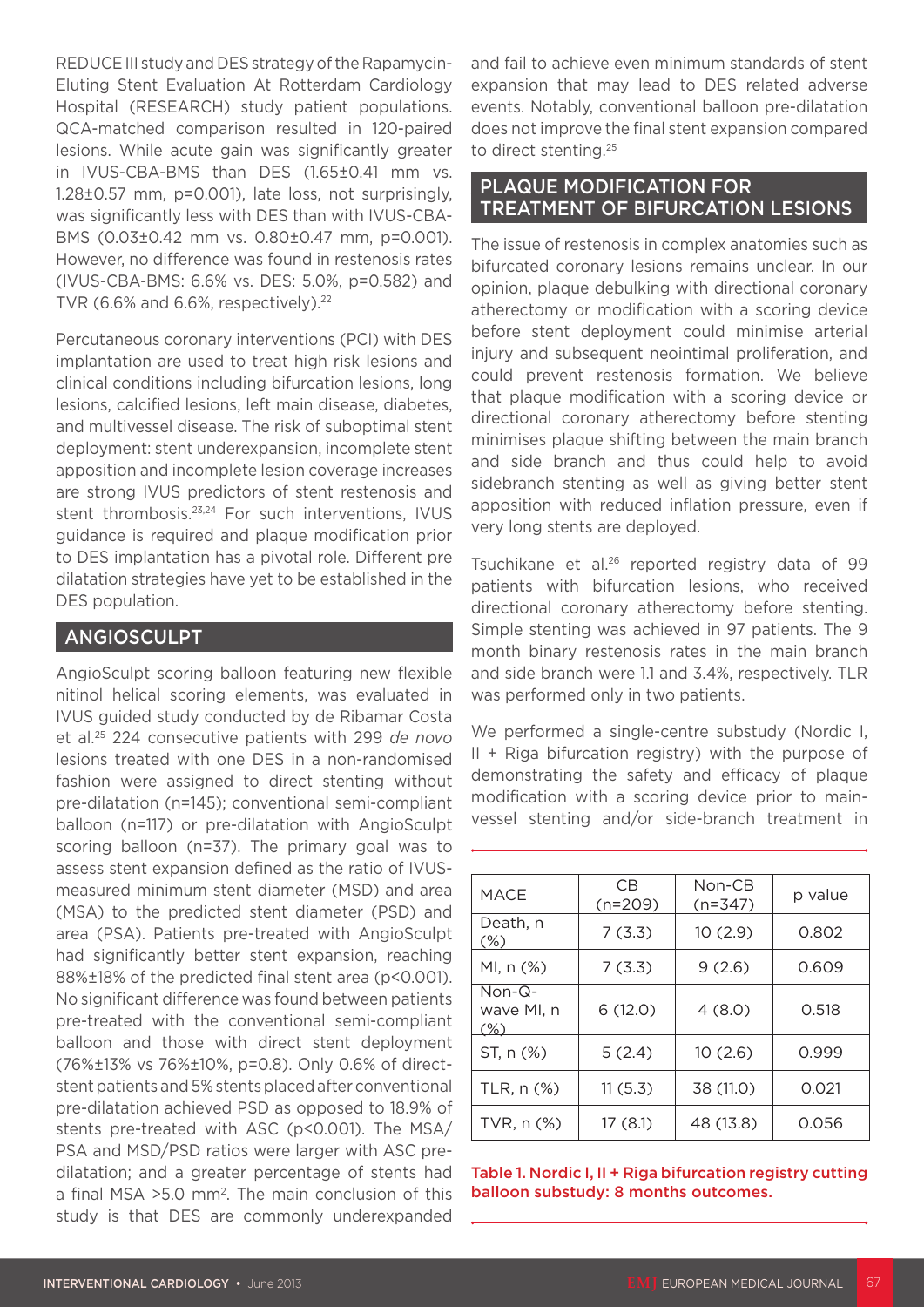REDUCE III study and DES strategy of the Rapamycin-Eluting Stent Evaluation At Rotterdam Cardiology Hospital (RESEARCH) study patient populations. QCA-matched comparison resulted in 120-paired lesions. While acute gain was significantly greater in IVUS-CBA-BMS than DES (1.65±0.41 mm vs. 1.28±0.57 mm, p=0.001), late loss, not surprisingly, was significantly less with DES than with IVUS-CBA-BMS (0.03±0.42 mm vs. 0.80±0.47 mm, p=0.001). However, no difference was found in restenosis rates (IVUS-CBA-BMS: 6.6% vs. DES: 5.0%, p=0.582) and TVR (6.6% and 6.6%, respectively). 22

Percutaneous coronary interventions (PCI) with DES implantation are used to treat high risk lesions and clinical conditions including bifurcation lesions, long lesions, calcified lesions, left main disease, diabetes, and multivessel disease. The risk of suboptimal stent deployment: stent underexpansion, incomplete stent apposition and incomplete lesion coverage increases are strong IVUS predictors of stent restenosis and stent thrombosis.<sup>23,24</sup> For such interventions, IVUS guidance is required and plaque modification prior to DES implantation has a pivotal role. Different pre dilatation strategies have yet to be established in the DES population.

### ANGIOSCULPT

AngioSculpt scoring balloon featuring new flexible nitinol helical scoring elements, was evaluated in IVUS guided study conducted by de Ribamar Costa et al.25 224 consecutive patients with 299 *de novo* lesions treated with one DES in a non-randomised fashion were assigned to direct stenting without pre-dilatation (n=145); conventional semi-compliant balloon (n=117) or pre-dilatation with AngioSculpt scoring balloon (n=37). The primary goal was to assess stent expansion defined as the ratio of IVUSmeasured minimum stent diameter (MSD) and area (MSA) to the predicted stent diameter (PSD) and area (PSA). Patients pre-treated with AngioSculpt had significantly better stent expansion, reaching 88%±18% of the predicted final stent area (p<0.001). No significant difference was found between patients pre-treated with the conventional semi-compliant balloon and those with direct stent deployment (76%±13% vs 76%±10%, p=0.8). Only 0.6% of directstent patients and 5% stents placed after conventional pre-dilatation achieved PSD as opposed to 18.9% of stents pre-treated with ASC (p<0.001). The MSA/ PSA and MSD/PSD ratios were larger with ASC predilatation; and a greater percentage of stents had a final MSA >5.0 mm2. The main conclusion of this study is that DES are commonly underexpanded

and fail to achieve even minimum standards of stent expansion that may lead to DES related adverse events. Notably, conventional balloon pre-dilatation does not improve the final stent expansion compared to direct stenting. 25

### PLAQUE MODIFICATION FOR TREATMENT OF BIFURCATION LESIONS

The issue of restenosis in complex anatomies such as bifurcated coronary lesions remains unclear. In our opinion, plaque debulking with directional coronary atherectomy or modification with a scoring device before stent deployment could minimise arterial injury and subsequent neointimal proliferation, and could prevent restenosis formation. We believe that plaque modification with a scoring device or directional coronary atherectomy before stenting minimises plaque shifting between the main branch and side branch and thus could help to avoid sidebranch stenting as well as giving better stent apposition with reduced inflation pressure, even if very long stents are deployed.

Tsuchikane et al.<sup>26</sup> reported registry data of 99 patients with bifurcation lesions, who received directional coronary atherectomy before stenting. Simple stenting was achieved in 97 patients. The 9 month binary restenosis rates in the main branch and side branch were 1.1 and 3.4%, respectively. TLR was performed only in two patients.

We performed a single-centre substudy (Nordic I, II + Riga bifurcation registry) with the purpose of demonstrating the safety and efficacy of plaque modification with a scoring device prior to mainvessel stenting and/or side-branch treatment in

| <b>MACE</b>                   | C <sub>B</sub><br>$(n=209)$ | Non-CB<br>$(n=347)$ | p value |
|-------------------------------|-----------------------------|---------------------|---------|
| Death, n<br>$(\%)$            | 7(3.3)                      | 10(2.9)             | 0.802   |
| MI, n (%)                     | 7(3.3)                      | 9(2.6)              | 0.609   |
| $Non-Q-$<br>wave MI, n<br>(%) | 6(12.0)                     | 4(8.0)              | 0.518   |
| ST, n (%)                     | 5(2.4)                      | 10(2.6)             | 0.999   |
| TLR, n (%)                    | 11(5.3)                     | 38 (11.0)           | 0.021   |
| TVR, n (%)                    | 17 (8.1)                    | 48 (13.8)           | 0.056   |

Table 1. Nordic I, II + Riga bifurcation registry cutting balloon substudy: 8 months outcomes.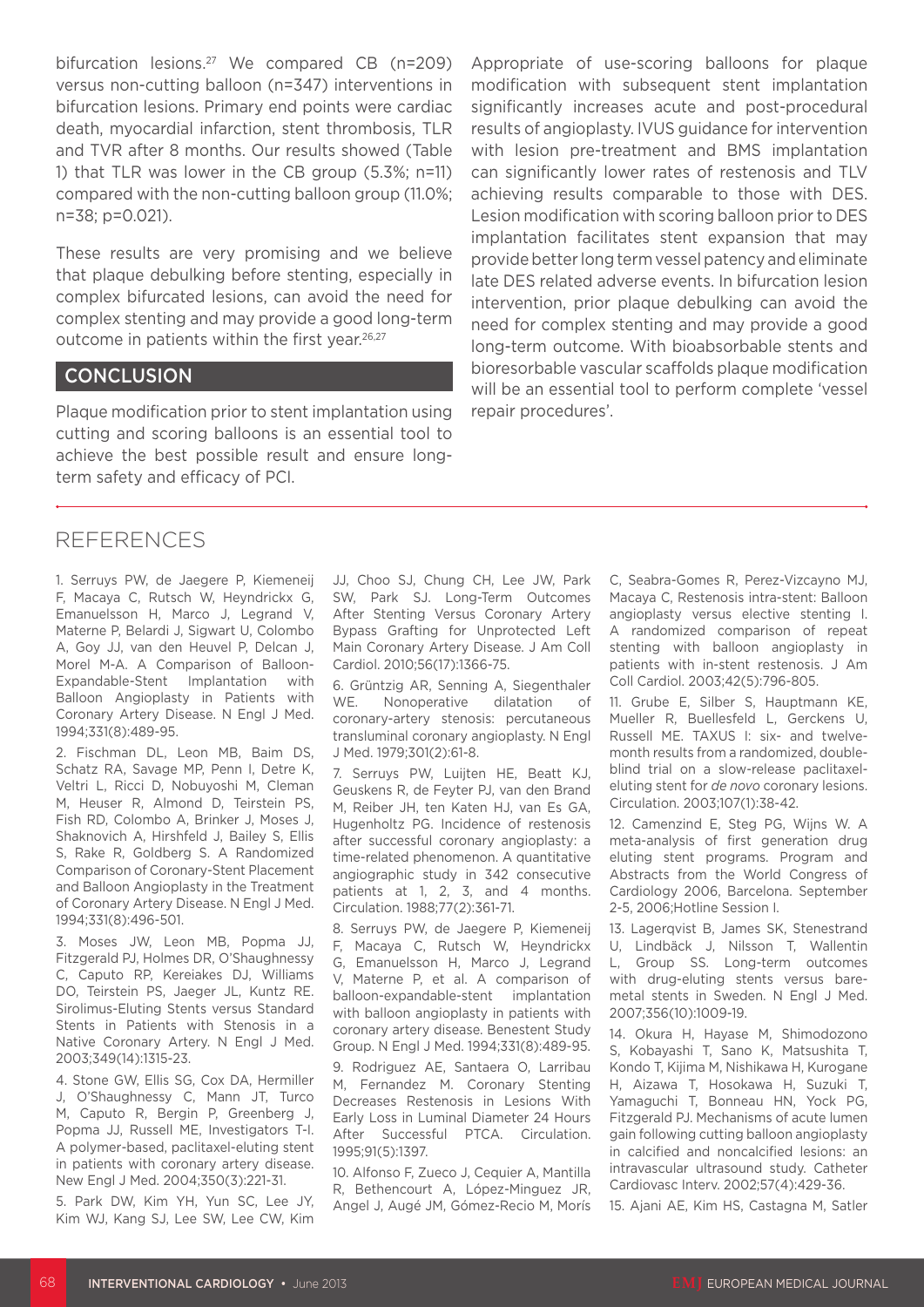bifurcation lesions.<sup>27</sup> We compared CB (n=209) versus non-cutting balloon (n=347) interventions in bifurcation lesions. Primary end points were cardiac death, myocardial infarction, stent thrombosis, TLR and TVR after 8 months. Our results showed (Table 1) that TLR was lower in the CB group (5.3%; n=11) compared with the non-cutting balloon group (11.0%; n=38; p=0.021).

These results are very promising and we believe that plaque debulking before stenting, especially in complex bifurcated lesions, can avoid the need for complex stenting and may provide a good long-term outcome in patients within the first year.26,27

### **CONCLUSION**

Plaque modification prior to stent implantation using cutting and scoring balloons is an essential tool to achieve the best possible result and ensure longterm safety and efficacy of PCI.

Appropriate of use-scoring balloons for plaque modification with subsequent stent implantation significantly increases acute and post-procedural results of angioplasty. IVUS guidance for intervention with lesion pre-treatment and BMS implantation can significantly lower rates of restenosis and TLV achieving results comparable to those with DES. Lesion modification with scoring balloon prior to DES implantation facilitates stent expansion that may provide better long term vessel patency and eliminate late DES related adverse events. In bifurcation lesion intervention, prior plaque debulking can avoid the need for complex stenting and may provide a good long-term outcome. With bioabsorbable stents and bioresorbable vascular scaffolds plaque modification will be an essential tool to perform complete 'vessel repair procedures'.

### REFERENCES

1. Serruys PW, de Jaegere P, Kiemeneij F, Macaya C, Rutsch W, Heyndrickx G, Emanuelsson H, Marco J, Legrand V, Materne P, Belardi J, Sigwart U, Colombo A, Goy JJ, van den Heuvel P, Delcan J, Morel M-A. A Comparison of Balloon-Expandable-Stent Implantation with Balloon Angioplasty in Patients with Coronary Artery Disease. N Engl J Med. 1994;331(8):489-95.

2. Fischman DL, Leon MB, Baim DS, Schatz RA, Savage MP, Penn I, Detre K, Veltri L, Ricci D, Nobuyoshi M, Cleman M, Heuser R, Almond D, Teirstein PS, Fish RD, Colombo A, Brinker J, Moses J, Shaknovich A, Hirshfeld J, Bailey S, Ellis S, Rake R, Goldberg S. A Randomized Comparison of Coronary-Stent Placement and Balloon Angioplasty in the Treatment of Coronary Artery Disease. N Engl J Med. 1994;331(8):496-501.

3. Moses JW, Leon MB, Popma JJ, Fitzgerald PJ, Holmes DR, O'Shaughnessy C, Caputo RP, Kereiakes DJ, Williams DO, Teirstein PS, Jaeger JL, Kuntz RE. Sirolimus-Eluting Stents versus Standard Stents in Patients with Stenosis in a Native Coronary Artery. N Engl J Med. 2003;349(14):1315-23.

4. Stone GW, Ellis SG, Cox DA, Hermiller J, O'Shaughnessy C, Mann JT, Turco M, Caputo R, Bergin P, Greenberg J, Popma JJ, Russell ME, Investigators T-I. A polymer-based, paclitaxel-eluting stent in patients with coronary artery disease. New Engl J Med. 2004;350(3):221-31.

5. Park DW, Kim YH, Yun SC, Lee JY, Kim WJ, Kang SJ, Lee SW, Lee CW, Kim JJ, Choo SJ, Chung CH, Lee JW, Park SW, Park SJ. Long-Term Outcomes After Stenting Versus Coronary Artery Bypass Grafting for Unprotected Left Main Coronary Artery Disease. J Am Coll Cardiol. 2010;56(17):1366-75.

6. Grüntzig AR, Senning A, Siegenthaler WE. Nonoperative dilatation of coronary-artery stenosis: percutaneous transluminal coronary angioplasty. N Engl J Med. 1979;301(2):61-8.

7. Serruys PW, Luijten HE, Beatt KJ, Geuskens R, de Feyter PJ, van den Brand M, Reiber JH, ten Katen HJ, van Es GA, Hugenholtz PG. Incidence of restenosis after successful coronary angioplasty: a time-related phenomenon. A quantitative angiographic study in 342 consecutive patients at 1, 2, 3, and 4 months. Circulation. 1988;77(2):361-71.

8. Serruys PW, de Jaegere P, Kiemeneij F, Macaya C, Rutsch W, Heyndrickx G, Emanuelsson H, Marco J, Legrand V, Materne P, et al. A comparison of balloon-expandable-stent implantation with balloon angioplasty in patients with coronary artery disease. Benestent Study Group. N Engl J Med. 1994;331(8):489-95.

9. Rodriguez AE, Santaera O, Larribau M, Fernandez M. Coronary Stenting Decreases Restenosis in Lesions With Early Loss in Luminal Diameter 24 Hours After Successful PTCA. Circulation. 1995;91(5):1397.

10. Alfonso F, Zueco J, Cequier A, Mantilla R, Bethencourt A, López-Minguez JR, Angel J, Augé JM, Gómez-Recio M, Morís C, Seabra-Gomes R, Perez-Vizcayno MJ, Macaya C, Restenosis intra-stent: Balloon angioplasty versus elective stenting I. A randomized comparison of repeat stenting with balloon angioplasty in patients with in-stent restenosis. J Am Coll Cardiol. 2003;42(5):796-805.

11. Grube E, Silber S, Hauptmann KE, Mueller R, Buellesfeld L, Gerckens U, Russell ME. TAXUS I: six- and twelvemonth results from a randomized, doubleblind trial on a slow-release paclitaxeleluting stent for *de novo* coronary lesions. Circulation. 2003;107(1):38-42.

12. Camenzind E, Steg PG, Wijns W. A meta-analysis of first generation drug eluting stent programs. Program and Abstracts from the World Congress of Cardiology 2006, Barcelona. September 2-5, 2006;Hotline Session I.

13. Lagerqvist B, James SK, Stenestrand U, Lindbäck J, Nilsson T, Wallentin L, Group SS. Long-term outcomes with drug-eluting stents versus baremetal stents in Sweden. N Engl J Med. 2007;356(10):1009-19.

14. Okura H, Hayase M, Shimodozono S, Kobayashi T, Sano K, Matsushita T, Kondo T, Kijima M, Nishikawa H, Kurogane H, Aizawa T, Hosokawa H, Suzuki T, Yamaguchi T, Bonneau HN, Yock PG, Fitzgerald PJ. Mechanisms of acute lumen gain following cutting balloon angioplasty in calcified and noncalcified lesions: an intravascular ultrasound study. Catheter Cardiovasc Interv. 2002;57(4):429-36.

15. Ajani AE, Kim HS, Castagna M, Satler